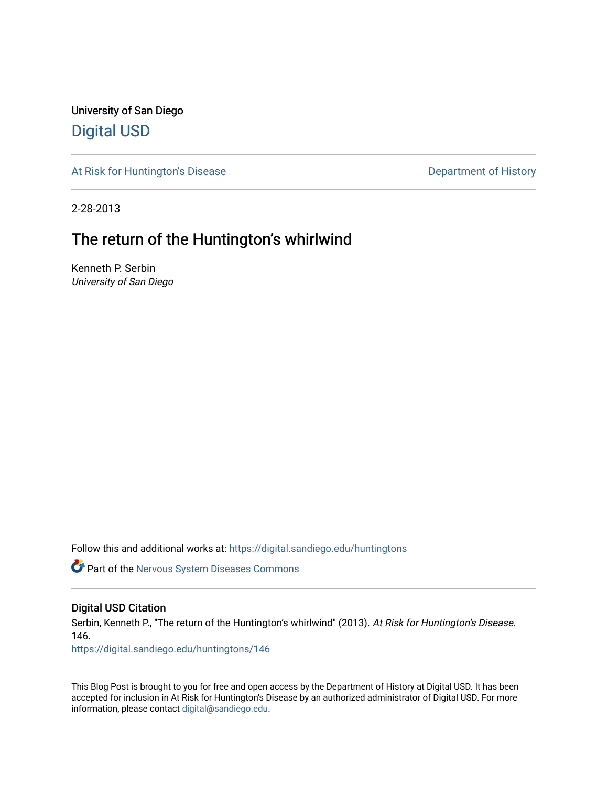University of San Diego [Digital USD](https://digital.sandiego.edu/)

[At Risk for Huntington's Disease](https://digital.sandiego.edu/huntingtons) **Department of History** Department of History

2-28-2013

# The return of the Huntington's whirlwind

Kenneth P. Serbin University of San Diego

Follow this and additional works at: [https://digital.sandiego.edu/huntingtons](https://digital.sandiego.edu/huntingtons?utm_source=digital.sandiego.edu%2Fhuntingtons%2F146&utm_medium=PDF&utm_campaign=PDFCoverPages)

**C** Part of the [Nervous System Diseases Commons](http://network.bepress.com/hgg/discipline/928?utm_source=digital.sandiego.edu%2Fhuntingtons%2F146&utm_medium=PDF&utm_campaign=PDFCoverPages)

# Digital USD Citation

Serbin, Kenneth P., "The return of the Huntington's whirlwind" (2013). At Risk for Huntington's Disease. 146.

[https://digital.sandiego.edu/huntingtons/146](https://digital.sandiego.edu/huntingtons/146?utm_source=digital.sandiego.edu%2Fhuntingtons%2F146&utm_medium=PDF&utm_campaign=PDFCoverPages)

This Blog Post is brought to you for free and open access by the Department of History at Digital USD. It has been accepted for inclusion in At Risk for Huntington's Disease by an authorized administrator of Digital USD. For more information, please contact [digital@sandiego.edu.](mailto:digital@sandiego.edu)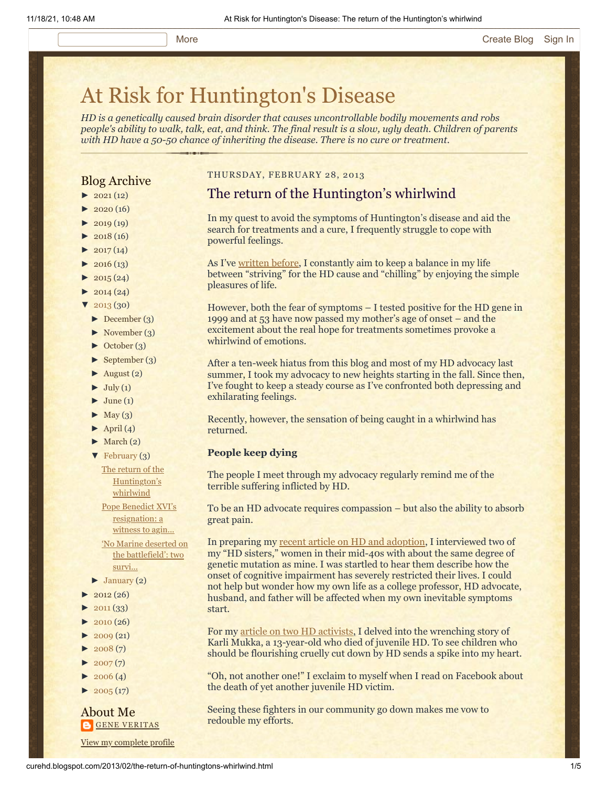# [At Risk for Huntington's Disease](http://curehd.blogspot.com/)

*HD is a genetically caused brain disorder that causes uncontrollable bodily movements and robs people's ability to walk, talk, eat, and think. The final result is a slow, ugly death. Children of parents with HD have a 50-50 chance of inheriting the disease. There is no cure or treatment.*

# Blog Archive

- $\blacktriangleright$  [2021](http://curehd.blogspot.com/2021/) (12)
- $2020(16)$  $2020(16)$
- $2019(19)$  $2019(19)$
- $\blacktriangleright$  [2018](http://curehd.blogspot.com/2018/) (16)
- $2017(14)$  $2017(14)$
- $2016(13)$  $2016(13)$
- $\blacktriangleright$  [2015](http://curehd.blogspot.com/2015/) (24)
- $-2014(24)$  $-2014(24)$  $-2014(24)$
- $'$  [2013](http://curehd.blogspot.com/2013/) (30)
- [►](javascript:void(0)) [December](http://curehd.blogspot.com/2013/12/) (3)
- [►](javascript:void(0)) [November](http://curehd.blogspot.com/2013/11/) (3)
- [►](javascript:void(0)) [October](http://curehd.blogspot.com/2013/10/) (3)
- [►](javascript:void(0)) [September](http://curehd.blogspot.com/2013/09/) (3)
- $\blacktriangleright$  [August](http://curehd.blogspot.com/2013/08/) (2)
- $\blacktriangleright$  [July](http://curehd.blogspot.com/2013/07/) (1)
- $\blacktriangleright$  [June](http://curehd.blogspot.com/2013/06/) (1)
- $\blacktriangleright$  [May](http://curehd.blogspot.com/2013/05/) (3)
- $\blacktriangleright$  [April](http://curehd.blogspot.com/2013/04/) (4)
- $\blacktriangleright$  [March](http://curehd.blogspot.com/2013/03/) (2)
- [▼](javascript:void(0)) [February](http://curehd.blogspot.com/2013/02/) (3) The return of the
- [Huntington's](http://curehd.blogspot.com/2013/02/the-return-of-huntingtons-whirlwind.html) whirlwind Pope Benedict XVI's
- [resignation:](http://curehd.blogspot.com/2013/02/pope-benedict-xvis-resignation-witness.html) a witness to agin...
- 'No Marine deserted on the [battlefield':](http://curehd.blogspot.com/2013/02/no-marine-deserted-on-battlefield-two.html) two survi...
- $\blacktriangleright$  [January](http://curehd.blogspot.com/2013/01/) (2)
- $\blacktriangleright$  [2012](http://curehd.blogspot.com/2012/) (26)
- $2011(33)$  $2011(33)$
- $2010(26)$  $2010(26)$
- $-2009(21)$  $-2009(21)$  $-2009(21)$
- $2008(7)$  $2008(7)$
- $-2007(7)$  $-2007(7)$  $-2007(7)$
- $\blacktriangleright$  [2006](http://curehd.blogspot.com/2006/) (4)
- $\blacktriangleright$  [2005](http://curehd.blogspot.com/2005/) (17)

# About Me **GENE [VERITAS](https://www.blogger.com/profile/10911736205741688185)**

View my [complete](https://www.blogger.com/profile/10911736205741688185) profile

## THURSDAY, FEBRUARY 28, 2013

# The return of the Huntington's whirlwind

In my quest to avoid the symptoms of Huntington's disease and aid the search for treatments and a cure, I frequently struggle to cope with powerful feelings.

As I've [written before,](http://curehd.blogspot.com/2012/01/to-strive-or-to-chill-seeking-balance.html) I constantly aim to keep a balance in my life between "striving" for the HD cause and "chilling" by enjoying the simple pleasures of life.

However, both the fear of symptoms – I tested positive for the HD gene in 1999 and at 53 have now passed my mother's age of onset – and the excitement about the real hope for treatments sometimes provoke a whirlwind of emotions.

After a ten-week hiatus from this blog and most of my HD advocacy last summer, I took my advocacy to new heights starting in the fall. Since then, I've fought to keep a steady course as I've confronted both depressing and exhilarating feelings.

Recently, however, the sensation of being caught in a whirlwind has returned.

#### **People keep dying**

The people I meet through my advocacy regularly remind me of the terrible suffering inflicted by HD.

To be an HD advocate requires compassion – but also the ability to absorb great pain.

In preparing my [recent article on HD and adoption](http://curehd.blogspot.com/2013/01/huntingtons-disease-and-perils-of.html), I interviewed two of my "HD sisters," women in their mid-40s with about the same degree of genetic mutation as mine. I was startled to hear them describe how the onset of cognitive impairment has severely restricted their lives. I could not help but wonder how my own life as a college professor, HD advocate, husband, and father will be affected when my own inevitable symptoms start.

For my [article on two HD activists,](http://curehd.blogspot.com/2013/02/no-marine-deserted-on-battlefield-two.html) I delved into the wrenching story of Karli Mukka, a 13-year-old who died of juvenile HD. To see children who should be flourishing cruelly cut down by HD sends a spike into my heart.

"Oh, not another one!" I exclaim to myself when I read on Facebook about the death of yet another juvenile HD victim.

Seeing these fighters in our community go down makes me vow to redouble my efforts.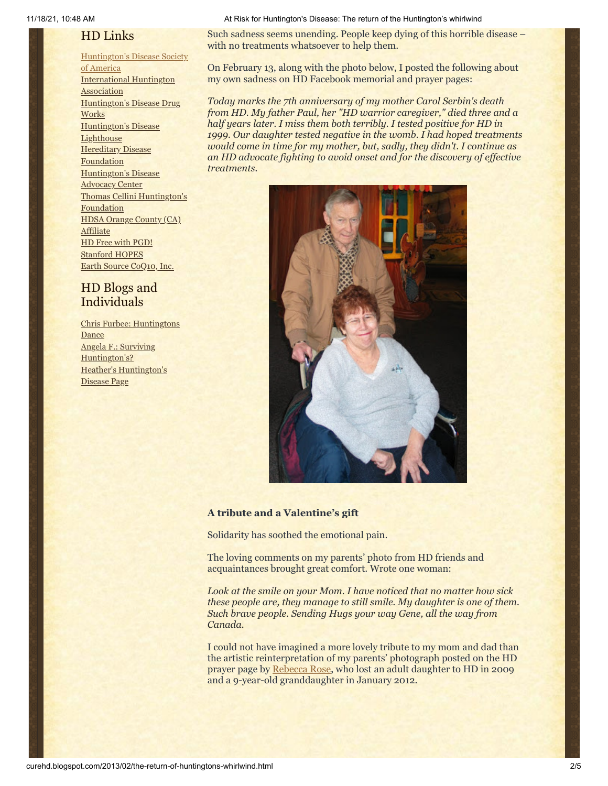# HD Links

[Huntington's](http://www.hdsa.org/) Disease Society of America [International](http://www.huntington-assoc.com/) Huntington **Association** [Huntington's](http://hddrugworks.org/) Disease Drug **Works** [Huntington's](http://www.hdlighthouse.org/) Disease **Lighthouse Hereditary Disease [Foundation](http://www.hdfoundation.org/)** [Huntington's](http://www.hdac.org/) Disease Advocacy Center Thomas [Cellini Huntington's](http://www.ourtchfoundation.org/) **Foundation** HDSA Orange County (CA) **[Affiliate](http://www.hdsaoc.org/)** HD Free with [PGD!](http://www.hdfreewithpgd.com/) [Stanford](http://www.stanford.edu/group/hopes/) HOPES Earth Source [CoQ10,](http://www.escoq10.com/) Inc.

# HD Blogs and Individuals

Chris Furbee: [Huntingtons](http://www.huntingtonsdance.org/) **Dance** Angela F.: Surviving [Huntington's?](http://survivinghuntingtons.blogspot.com/) Heather's [Huntington's](http://heatherdugdale.angelfire.com/) Disease Page

#### 11/18/21, 10:48 AM At Risk for Huntington's Disease: The return of the Huntington's whirlwind

Such sadness seems unending. People keep dying of this horrible disease – with no treatments whatsoever to help them.

On February 13, along with the photo below, I posted the following about my own sadness on HD Facebook memorial and prayer pages:

*Today marks the 7th anniversary of my mother Carol Serbin's death from HD. My father Paul, her "HD warrior caregiver," died three and a half years later. I miss them both terribly. I tested positive for HD in 1999. Our daughter tested negative in the womb. I had hoped treatments would come in time for my mother, but, sadly, they didn't. I continue as an HD advocate fighting to avoid onset and for the discovery of effective treatments.*



# **A tribute and a Valentine's gift**

Solidarity has soothed the emotional pain.

The loving comments on my parents' photo from HD friends and acquaintances brought great comfort. Wrote one woman:

*Look at the smile on your Mom. I have noticed that no matter how sick these people are, they manage to still smile. My daughter is one of them. Such brave people. Sending Hugs your way Gene, all the way from Canada.*

I could not have imagined a more lovely tribute to my mom and dad than the artistic reinterpretation of my parents' photograph posted on the HD prayer page by [Rebecca Rose,](http://curehd.blogspot.com/2012/01/lets-turn-grief-for-hd-angels-into-new.html) who lost an adult daughter to HD in 2009 and a 9-year-old granddaughter in January 2012.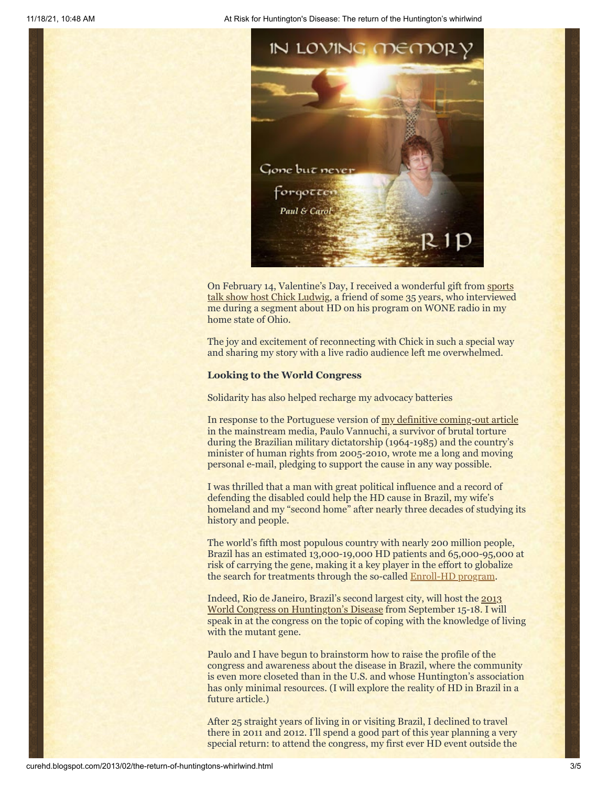11/18/21, 10:48 AM At Risk for Huntington's Disease: The return of the Huntington's whirlwind



On February 14, Valentine's Day, I received a wonderful gift from sports [talk show host Chick Ludwig, a friend of some 35 years, who](http://www.wone.com/pages/thechickludwigshow.html) interviewed me during a segment about HD on his program on WONE radio in my home state of Ohio.

The joy and excitement of reconnecting with Chick in such a special way and sharing my story with a live radio audience left me overwhelmed.

#### **Looking to the World Congress**

Solidarity has also helped recharge my advocacy batteries

In response to the Portuguese version of [my definitive coming-out article](http://chronicle.com/article/Racing-Against-the-Genetic/135542/) in the mainstream media, Paulo Vannuchi, a survivor of brutal torture during the Brazilian military dictatorship (1964-1985) and the country's minister of human rights from 2005-2010, wrote me a long and moving personal e-mail, pledging to support the cause in any way possible.

I was thrilled that a man with great political influence and a record of defending the disabled could help the HD cause in Brazil, my wife's homeland and my "second home" after nearly three decades of studying its history and people.

The world's fifth most populous country with nearly 200 million people, Brazil has an estimated 13,000-19,000 HD patients and 65,000-95,000 at risk of carrying the gene, making it a key player in the effort to globalize the search for treatments through the so-called [Enroll-HD program](http://curehd.blogspot.com/2010/12/globalizing-fight-against-huntingtons.html).

Indeed, Rio de Janeiro, Brazil's second largest city, will host the 2013 [World Congress on Huntington's Disease from September 15-18. I](http://www.wchd2013.com/) will speak in at the congress on the topic of coping with the knowledge of living with the mutant gene.

Paulo and I have begun to brainstorm how to raise the profile of the congress and awareness about the disease in Brazil, where the community is even more closeted than in the U.S. and whose Huntington's association has only minimal resources. (I will explore the reality of HD in Brazil in a future article.)

After 25 straight years of living in or visiting Brazil, I declined to travel there in 2011 and 2012. I'll spend a good part of this year planning a very special return: to attend the congress, my first ever HD event outside the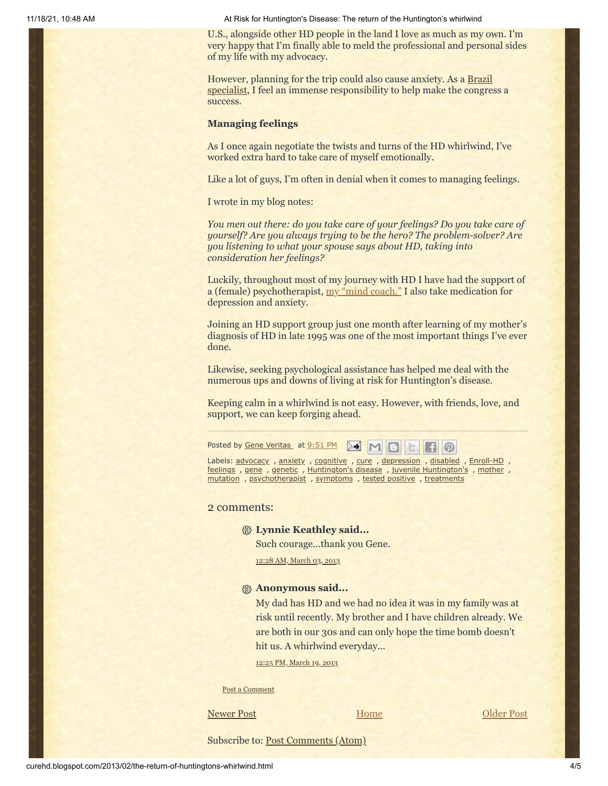11/18/21, 10:48 AM At Risk for Huntington's Disease: The return of the Huntington's whirlwind

U.S., alongside other HD people in the land I love as much as my own. I'm very happy that I'm finally able to meld the professional and personal sides of my life with my advocacy.

However, planning for the trip could also cause anxiety. As a Brazil [specialist, I feel an immense responsibility to help make the](http://www.sandiego.edu/cas/history/faculty/biography.php?ID=137) congress a success.

#### **Managing feelings**

As I once again negotiate the twists and turns of the HD whirlwind, I've worked extra hard to take care of myself emotionally.

Like a lot of guys, I'm often in denial when it comes to managing feelings.

I wrote in my blog notes:

*You men out there: do you take care of your feelings? Do you take care of yourself? Are you always trying to be the hero? The problem-solver? Are you listening to what your spouse says about HD, taking into consideration her feelings?*

Luckily, throughout most of my journey with HD I have had the support of a (female) psychotherapist, [my "mind coach."](http://curehd.blogspot.com/2009/11/no-time-for-fear.html) I also take medication for depression and anxiety.

Joining an HD support group just one month after learning of my mother's diagnosis of HD in late 1995 was one of the most important things I've ever done.

Likewise, seeking psychological assistance has helped me deal with the numerous ups and downs of living at risk for Huntington's disease.

Keeping calm in a whirlwind is not easy. However, with friends, love, and support, we can keep forging ahead.

Posted by Gene [Veritas](https://www.blogger.com/profile/03599828959793084715) at [9:51](http://curehd.blogspot.com/2013/02/the-return-of-huntingtons-whirlwind.html) PM  $\rightarrow$ 

Labels: [advocacy](http://curehd.blogspot.com/search/label/advocacy), [anxiety](http://curehd.blogspot.com/search/label/anxiety), [cognitive](http://curehd.blogspot.com/search/label/cognitive), [cure](http://curehd.blogspot.com/search/label/cure), [depression](http://curehd.blogspot.com/search/label/depression), [disabled](http://curehd.blogspot.com/search/label/disabled), [Enroll-HD](http://curehd.blogspot.com/search/label/Enroll-HD), [feelings](http://curehd.blogspot.com/search/label/feelings) , [gene](http://curehd.blogspot.com/search/label/gene) , [genetic](http://curehd.blogspot.com/search/label/genetic) , [Huntington's](http://curehd.blogspot.com/search/label/Huntington%27s%20disease) disease , juvenile [Huntington's](http://curehd.blogspot.com/search/label/juvenile%20Huntington%27s) , [mother](http://curehd.blogspot.com/search/label/mother) , [mutation](http://curehd.blogspot.com/search/label/mutation) , [psychotherapist](http://curehd.blogspot.com/search/label/psychotherapist) , [symptoms](http://curehd.blogspot.com/search/label/symptoms) , tested [positive](http://curehd.blogspot.com/search/label/tested%20positive) , [treatments](http://curehd.blogspot.com/search/label/treatments)

#### 2 comments:

## **Lynnie Keathley said...**

Such courage...thank you Gene.

12:28 AM, [March](http://curehd.blogspot.com/2013/02/the-return-of-huntingtons-whirlwind.html?showComment=1362299315661#c8508850416863726368) 03, 2013

#### **Anonymous said...**

My dad has HD and we had no idea it was in my family was at risk until recently. My brother and I have children already. We are both in our 30s and can only hope the time bomb doesn't hit us. A whirlwind everyday...

12:25 PM, [March](http://curehd.blogspot.com/2013/02/the-return-of-huntingtons-whirlwind.html?showComment=1363721137268#c6838643313193459943) 19, 2013

Post a [Comment](https://www.blogger.com/comment.g?blogID=10081281&postID=578608335617035573&isPopup=true)

[Newer Post](http://curehd.blogspot.com/2013/03/the-brain-activity-map-project-short.html) **Newer Post Newer Post [Older Post](http://curehd.blogspot.com/2013/02/pope-benedict-xvis-resignation-witness.html)** 

[Home](http://curehd.blogspot.com/)

Subscribe to: [Post Comments \(Atom\)](http://curehd.blogspot.com/feeds/578608335617035573/comments/default)